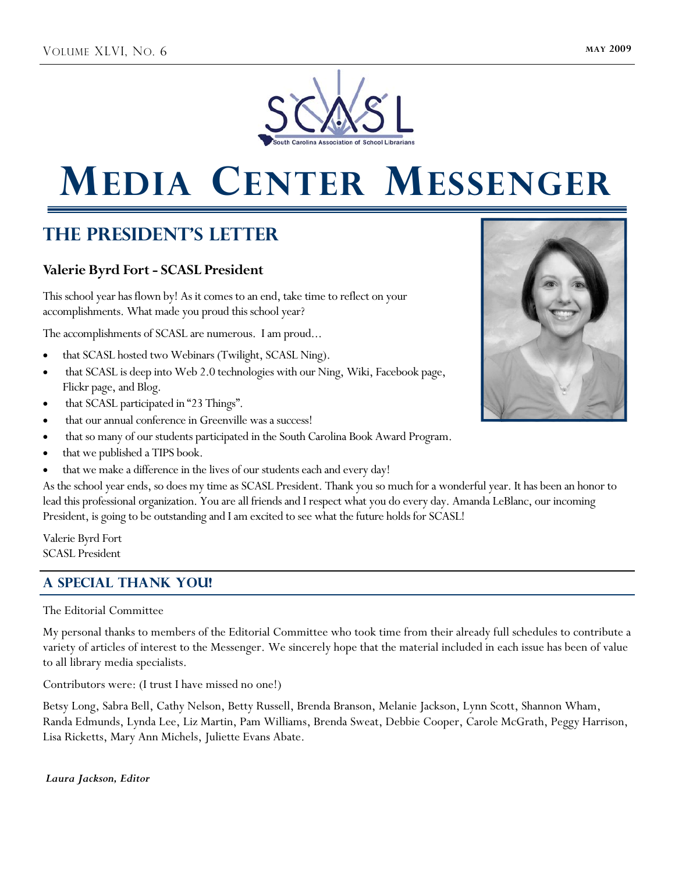

# **MEDIA CENTER MESSENGER**

## **The President's Letter**

## **Valerie Byrd Fort - SCASL President**

This school year has flown by! As it comes to an end, take time to reflect on your accomplishments. What made you proud this school year?

The accomplishments of SCASL are numerous. I am proud...

- that SCASL hosted two Webinars (Twilight, SCASL Ning).
- that SCASL is deep into Web 2.0 technologies with our Ning, Wiki, Facebook page, Flickr page, and Blog.
- that SCASL participated in "23 Things".
- that our annual conference in Greenville was a success!
- that so many of our students participated in the South Carolina Book Award Program.
- that we published a TIPS book.
- that we make a difference in the lives of our students each and every day!

As the school year ends, so does my time as SCASL President. Thank you so much for a wonderful year. It has been an honor to lead this professional organization. You are all friends and I respect what you do every day. Amanda LeBlanc, our incoming President, is going to be outstanding and I am excited to see what the future holds for SCASL!

Valerie Byrd Fort SCASL President

## **A special thank you!**

### The Editorial Committee

My personal thanks to members of the Editorial Committee who took time from their already full schedules to contribute a variety of articles of interest to the Messenger. We sincerely hope that the material included in each issue has been of value to all library media specialists.

Contributors were: (I trust I have missed no one!)

Betsy Long, Sabra Bell, Cathy Nelson, Betty Russell, Brenda Branson, Melanie Jackson, Lynn Scott, Shannon Wham, Randa Edmunds, Lynda Lee, Liz Martin, Pam Williams, Brenda Sweat, Debbie Cooper, Carole McGrath, Peggy Harrison, Lisa Ricketts, Mary Ann Michels, Juliette Evans Abate.

### *Laura Jackson, Editor*

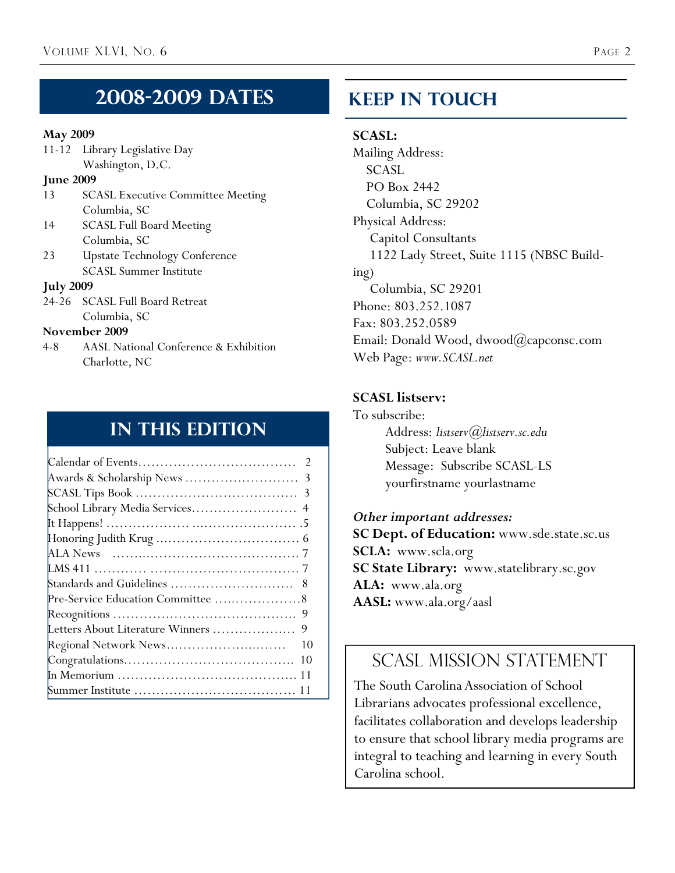## **2008-2009 Dates**

## **May 2009**

| 11-12 Library Legislative Day |  |
|-------------------------------|--|
| Washington, D.C.              |  |

## **June 2009**

- 13 SCASL Executive Committee Meeting Columbia, SC
- 14 SCASL Full Board Meeting Columbia, SC
- 23 Upstate Technology Conference SCASL Summer Institute

## **July 2009**

24-26 SCASL Full Board Retreat Columbia, SC

## **November 2009**

4-8 AASL National Conference & Exhibition Charlotte, NC

## **In This Edition**

| Letters About Literature Winners<br>9 |
|---------------------------------------|
| Regional Network News<br>10           |
| 10                                    |
|                                       |
|                                       |

## **Keep In Touch**

## **SCASL:**

Mailing Address: SCASL PO Box 2442 Columbia, SC 29202 Physical Address: Capitol Consultants 1122 Lady Street, Suite 1115 (NBSC Building) Columbia, SC 29201 Phone: 803.252.1087 Fax: 803.252.0589 Email: Donald Wood, dwood@capconsc.com Web Page: *www.SCASL.net*

## **SCASL listserv:**

To subscribe: Address: *listserv@listserv.sc.edu* Subject: Leave blank Message: Subscribe SCASL-LS yourfirstname yourlastname

*Other important addresses:* 

**SC Dept. of Education:** www.sde.state.sc.us **SCLA:** www.scla.org **SC State Library:** www.statelibrary.sc.gov **ALA:** www.ala.org **AASL:** www.ala.org/aasl

## SCASL MISSION STATEMENT

The South Carolina Association of School Librarians advocates professional excellence, facilitates collaboration and develops leadership to ensure that school library media programs are integral to teaching and learning in every South Carolina school.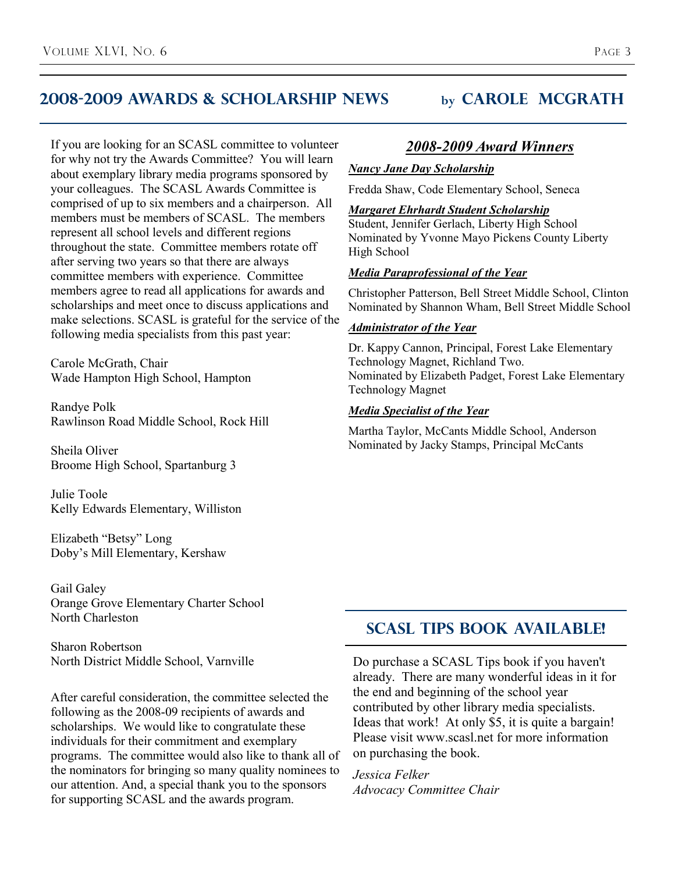## **2008-2009 awards & scholarship news by carole mcgrath**

If you are looking for an SCASL committee to volunteer for why not try the Awards Committee? You will learn about exemplary library media programs sponsored by your colleagues. The SCASL Awards Committee is comprised of up to six members and a chairperson. All members must be members of SCASL. The members represent all school levels and different regions throughout the state. Committee members rotate off after serving two years so that there are always committee members with experience. Committee members agree to read all applications for awards and scholarships and meet once to discuss applications and make selections. SCASL is grateful for the service of the following media specialists from this past year:

Carole McGrath, Chair Wade Hampton High School, Hampton

Randye Polk Rawlinson Road Middle School, Rock Hill

Sheila Oliver Broome High School, Spartanburg 3

Julie Toole Kelly Edwards Elementary, Williston

Elizabeth "Betsy" Long Doby's Mill Elementary, Kershaw

Gail Galey Orange Grove Elementary Charter School North Charleston

Sharon Robertson North District Middle School, Varnville

After careful consideration, the committee selected the following as the 2008-09 recipients of awards and scholarships. We would like to congratulate these individuals for their commitment and exemplary programs. The committee would also like to thank all of the nominators for bringing so many quality nominees to our attention. And, a special thank you to the sponsors for supporting SCASL and the awards program.

## *2008-2009 Award Winners*

## *Nancy Jane Day Scholarship*

Fredda Shaw, Code Elementary School, Seneca

#### *Margaret Ehrhardt Student Scholarship*

Student, Jennifer Gerlach, Liberty High School Nominated by Yvonne Mayo Pickens County Liberty High School

## *Media Paraprofessional of the Year*

Christopher Patterson, Bell Street Middle School, Clinton Nominated by Shannon Wham, Bell Street Middle School

### *Administrator of the Year*

Dr. Kappy Cannon, Principal, Forest Lake Elementary Technology Magnet, Richland Two. Nominated by Elizabeth Padget, Forest Lake Elementary Technology Magnet

#### *Media Specialist of the Year*

Martha Taylor, McCants Middle School, Anderson Nominated by Jacky Stamps, Principal McCants

## **Scasl tips BOOK available!**

Do purchase a SCASL Tips book if you haven't already. There are many wonderful ideas in it for the end and beginning of the school year contributed by other library media specialists. Ideas that work! At only \$5, it is quite a bargain! Please visit www.scasl.net for more information on purchasing the book.

*Jessica Felker Advocacy Committee Chair*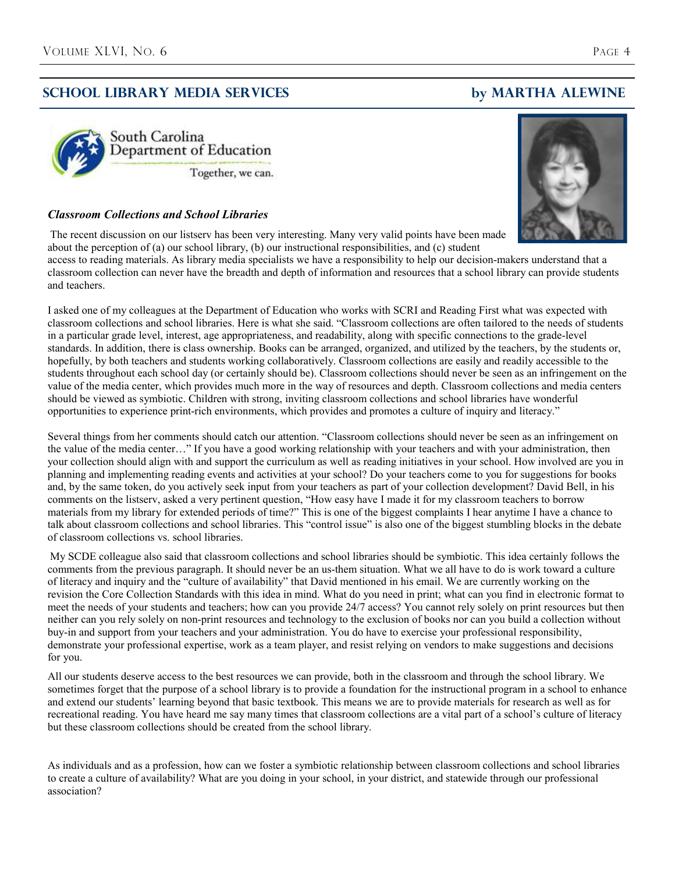## **School Library Media Services by MARTHA ALEWINe**





#### *Classroom Collections and School Libraries*

The recent discussion on our listserv has been very interesting. Many very valid points have been made about the perception of (a) our school library, (b) our instructional responsibilities, and (c) student

access to reading materials. As library media specialists we have a responsibility to help our decision-makers understand that a classroom collection can never have the breadth and depth of information and resources that a school library can provide students and teachers.

I asked one of my colleagues at the Department of Education who works with SCRI and Reading First what was expected with classroom collections and school libraries. Here is what she said. "Classroom collections are often tailored to the needs of students in a particular grade level, interest, age appropriateness, and readability, along with specific connections to the grade-level standards. In addition, there is class ownership. Books can be arranged, organized, and utilized by the teachers, by the students or, hopefully, by both teachers and students working collaboratively. Classroom collections are easily and readily accessible to the students throughout each school day (or certainly should be). Classroom collections should never be seen as an infringement on the value of the media center, which provides much more in the way of resources and depth. Classroom collections and media centers should be viewed as symbiotic. Children with strong, inviting classroom collections and school libraries have wonderful opportunities to experience print-rich environments, which provides and promotes a culture of inquiry and literacy."

Several things from her comments should catch our attention. "Classroom collections should never be seen as an infringement on the value of the media center…" If you have a good working relationship with your teachers and with your administration, then your collection should align with and support the curriculum as well as reading initiatives in your school. How involved are you in planning and implementing reading events and activities at your school? Do your teachers come to you for suggestions for books and, by the same token, do you actively seek input from your teachers as part of your collection development? David Bell, in his comments on the listserv, asked a very pertinent question, "How easy have I made it for my classroom teachers to borrow materials from my library for extended periods of time?" This is one of the biggest complaints I hear anytime I have a chance to talk about classroom collections and school libraries. This "control issue" is also one of the biggest stumbling blocks in the debate of classroom collections vs. school libraries.

My SCDE colleague also said that classroom collections and school libraries should be symbiotic. This idea certainly follows the comments from the previous paragraph. It should never be an us-them situation. What we all have to do is work toward a culture of literacy and inquiry and the "culture of availability" that David mentioned in his email. We are currently working on the revision the Core Collection Standards with this idea in mind. What do you need in print; what can you find in electronic format to meet the needs of your students and teachers; how can you provide 24/7 access? You cannot rely solely on print resources but then neither can you rely solely on non-print resources and technology to the exclusion of books nor can you build a collection without buy-in and support from your teachers and your administration. You do have to exercise your professional responsibility, demonstrate your professional expertise, work as a team player, and resist relying on vendors to make suggestions and decisions for you.

All our students deserve access to the best resources we can provide, both in the classroom and through the school library. We sometimes forget that the purpose of a school library is to provide a foundation for the instructional program in a school to enhance and extend our students' learning beyond that basic textbook. This means we are to provide materials for research as well as for recreational reading. You have heard me say many times that classroom collections are a vital part of a school's culture of literacy but these classroom collections should be created from the school library.

As individuals and as a profession, how can we foster a symbiotic relationship between classroom collections and school libraries to create a culture of availability? What are you doing in your school, in your district, and statewide through our professional association?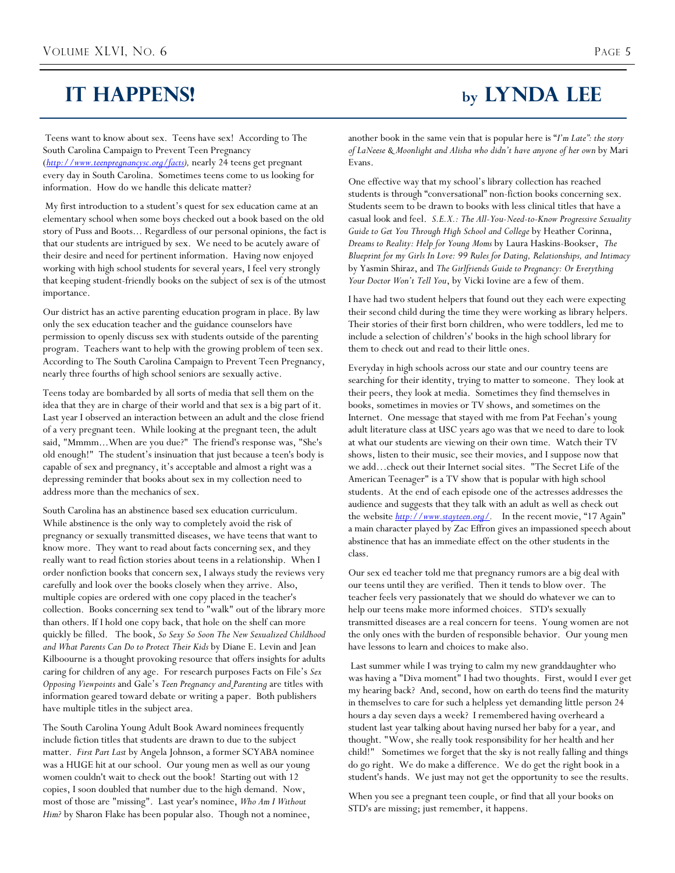## **IT HAPPENS! by Lynda Lee**

Teens want to know about sex. Teens have sex! According to The South Carolina Campaign to Prevent Teen Pregnancy (*http://www.teenpregnancysc.org/facts),* nearly 24 teens get pregnant every day in South Carolina. Sometimes teens come to us looking for information. How do we handle this delicate matter?

 My first introduction to a student's quest for sex education came at an elementary school when some boys checked out a book based on the old story of Puss and Boots... Regardless of our personal opinions, the fact is that our students are intrigued by sex. We need to be acutely aware of their desire and need for pertinent information. Having now enjoyed working with high school students for several years, I feel very strongly that keeping student-friendly books on the subject of sex is of the utmost importance.

Our district has an active parenting education program in place. By law only the sex education teacher and the guidance counselors have permission to openly discuss sex with students outside of the parenting program. Teachers want to help with the growing problem of teen sex. According to The South Carolina Campaign to Prevent Teen Pregnancy, nearly three fourths of high school seniors are sexually active.

Teens today are bombarded by all sorts of media that sell them on the idea that they are in charge of their world and that sex is a big part of it. Last year I observed an interaction between an adult and the close friend of a very pregnant teen. While looking at the pregnant teen, the adult said, "Mmmm...When are you due?" The friend's response was, "She's old enough!" The student's insinuation that just because a teen's body is capable of sex and pregnancy, it's acceptable and almost a right was a depressing reminder that books about sex in my collection need to address more than the mechanics of sex.

South Carolina has an abstinence based sex education curriculum. While abstinence is the only way to completely avoid the risk of pregnancy or sexually transmitted diseases, we have teens that want to know more. They want to read about facts concerning sex, and they really want to read fiction stories about teens in a relationship. When I order nonfiction books that concern sex, I always study the reviews very carefully and look over the books closely when they arrive. Also, multiple copies are ordered with one copy placed in the teacher's collection. Books concerning sex tend to "walk" out of the library more than others. If I hold one copy back, that hole on the shelf can more quickly be filled. The book, *So Sexy So Soon The New Sexualized Childhood and What Parents Can Do to Protect Their Kids* by Diane E. Levin and Jean Kilboourne is a thought provoking resource that offers insights for adults caring for children of any age. For research purposes Facts on File's *Sex Opposing Viewpoints* and Gale's *Teen Pregnancy and Parenting* are titles with information geared toward debate or writing a paper. Both publishers have multiple titles in the subject area.

The South Carolina Young Adult Book Award nominees frequently include fiction titles that students are drawn to due to the subject matter. *First Part Last* by Angela Johnson, a former SCYABA nominee was a HUGE hit at our school. Our young men as well as our young women couldn't wait to check out the book! Starting out with 12 copies, I soon doubled that number due to the high demand. Now, most of those are "missing". Last year's nominee, *Who Am I Without Him?* by Sharon Flake has been popular also. Though not a nominee,

another book in the same vein that is popular here is "*I'm Late": the story of LaNeese & Moonlight and Alisha who didn't have anyone of her own* by Mari Evans.

One effective way that my school's library collection has reached students is through "conversational" non-fiction books concerning sex. Students seem to be drawn to books with less clinical titles that have a casual look and feel. *S.E.X.: The All-You-Need-to-Know Progressive Sexuality Guide to Get You Through High School and College* by Heather Corinna, *Dreams to Reality: Help for Young Moms* by Laura Haskins-Bookser, *The Blueprint for my Girls In Love: 99 Rules for Dating, Relationships, and Intimacy* by Yasmin Shiraz, and *The Girlfriends Guide to Pregnancy: Or Everything Your Doctor Won't Tell You*, by Vicki Iovine are a few of them.

I have had two student helpers that found out they each were expecting their second child during the time they were working as library helpers. Their stories of their first born children, who were toddlers, led me to include a selection of children's' books in the high school library for them to check out and read to their little ones.

Everyday in high schools across our state and our country teens are searching for their identity, trying to matter to someone. They look at their peers, they look at media. Sometimes they find themselves in books, sometimes in movies or TV shows, and sometimes on the Internet. One message that stayed with me from Pat Feehan's young adult literature class at USC years ago was that we need to dare to look at what our students are viewing on their own time. Watch their TV shows, listen to their music, see their movies, and I suppose now that we add…check out their Internet social sites. "The Secret Life of the American Teenager" is a TV show that is popular with high school students. At the end of each episode one of the actresses addresses the audience and suggests that they talk with an adult as well as check out the website *http://www.stayteen.org/.* In the recent movie, "17 Again" a main character played by Zac Effron gives an impassioned speech about abstinence that has an immediate effect on the other students in the class.

Our sex ed teacher told me that pregnancy rumors are a big deal with our teens until they are verified. Then it tends to blow over. The teacher feels very passionately that we should do whatever we can to help our teens make more informed choices. STD's sexually transmitted diseases are a real concern for teens. Young women are not the only ones with the burden of responsible behavior. Our young men have lessons to learn and choices to make also.

 Last summer while I was trying to calm my new granddaughter who was having a "Diva moment" I had two thoughts. First, would I ever get my hearing back? And, second, how on earth do teens find the maturity in themselves to care for such a helpless yet demanding little person 24 hours a day seven days a week? I remembered having overheard a student last year talking about having nursed her baby for a year, and thought. "Wow, she really took responsibility for her health and her child!" Sometimes we forget that the sky is not really falling and things do go right. We do make a difference. We do get the right book in a student's hands. We just may not get the opportunity to see the results.

When you see a pregnant teen couple, or find that all your books on STD's are missing; just remember, it happens.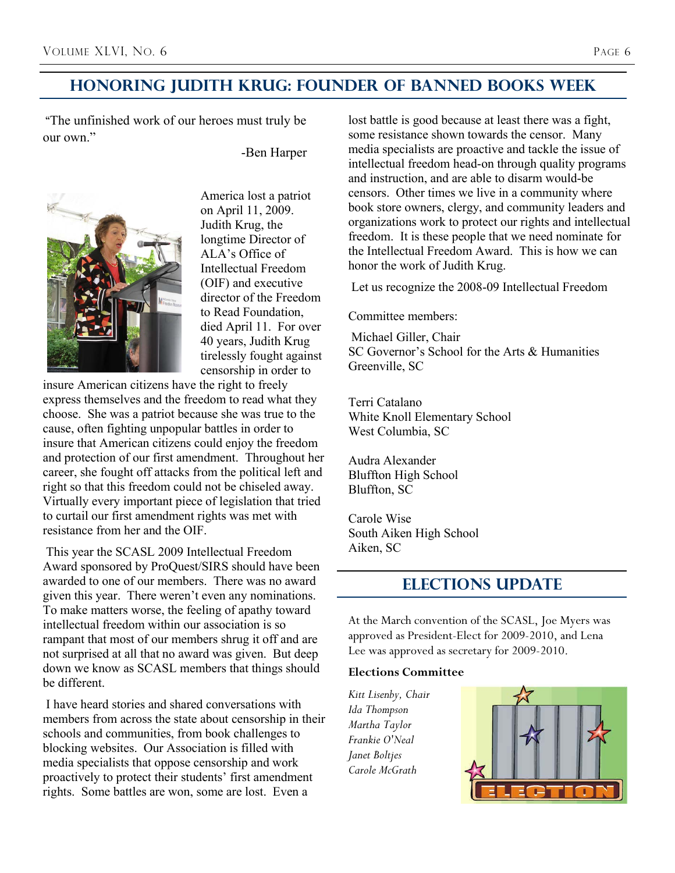## **Honoring Judith kRUg: Founder of banned books week**

 "The unfinished work of our heroes must truly be our own"

-Ben Harper



America lost a patriot on April 11, 2009. Judith Krug, the longtime Director of ALA's Office of Intellectual Freedom (OIF) and executive director of the Freedom to Read Foundation, died April 11. For over 40 years, Judith Krug tirelessly fought against censorship in order to

insure American citizens have the right to freely express themselves and the freedom to read what they choose. She was a patriot because she was true to the cause, often fighting unpopular battles in order to insure that American citizens could enjoy the freedom and protection of our first amendment. Throughout her career, she fought off attacks from the political left and right so that this freedom could not be chiseled away. Virtually every important piece of legislation that tried to curtail our first amendment rights was met with resistance from her and the OIF.

 This year the SCASL 2009 Intellectual Freedom Award sponsored by ProQuest/SIRS should have been awarded to one of our members. There was no award given this year. There weren't even any nominations. To make matters worse, the feeling of apathy toward intellectual freedom within our association is so rampant that most of our members shrug it off and are not surprised at all that no award was given. But deep down we know as SCASL members that things should be different.

 I have heard stories and shared conversations with members from across the state about censorship in their schools and communities, from book challenges to blocking websites. Our Association is filled with media specialists that oppose censorship and work proactively to protect their students' first amendment rights. Some battles are won, some are lost. Even a

lost battle is good because at least there was a fight, some resistance shown towards the censor. Many media specialists are proactive and tackle the issue of intellectual freedom head-on through quality programs and instruction, and are able to disarm would-be censors. Other times we live in a community where book store owners, clergy, and community leaders and organizations work to protect our rights and intellectual freedom. It is these people that we need nominate for the Intellectual Freedom Award. This is how we can honor the work of Judith Krug.

Let us recognize the 2008-09 Intellectual Freedom

Committee members:

 Michael Giller, Chair SC Governor's School for the Arts & Humanities Greenville, SC

Terri Catalano White Knoll Elementary School West Columbia, SC

Audra Alexander Bluffton High School Bluffton, SC

Carole Wise South Aiken High School Aiken, SC

## **Elections update**

At the March convention of the SCASL, Joe Myers was approved as President-Elect for 2009-2010, and Lena Lee was approved as secretary for 2009-2010.

#### **Elections Committee**

*Kitt Lisenby, Chair Ida Thompson Martha Taylor Frankie O'Neal Janet Boltjes Carole McGrath* 

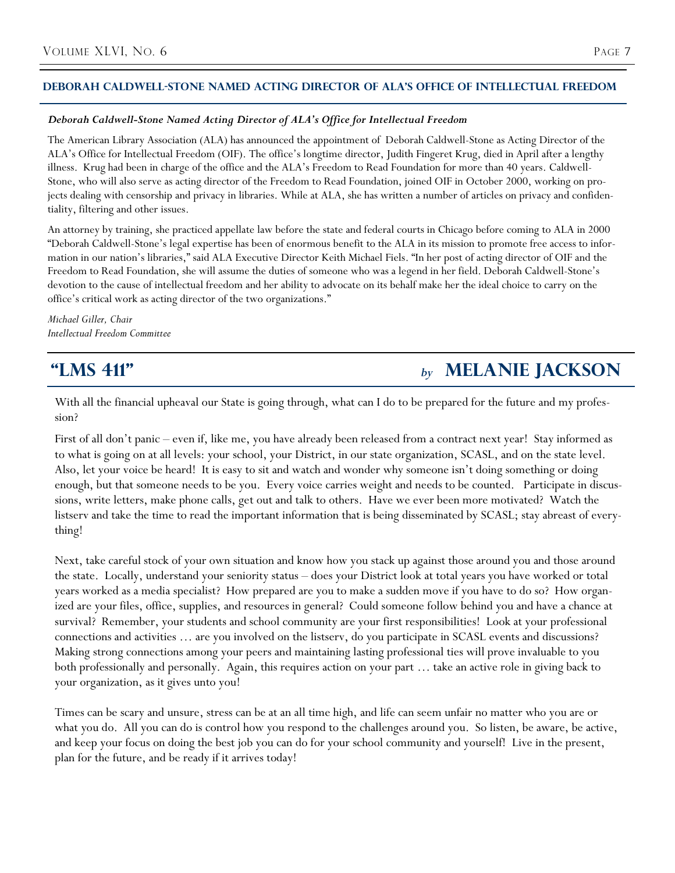### **DEBORAH CALDWELL-STONE NAMED ACTING DIRECTOR OF ALA'S OfficE of intellectual freedom**

#### *Deborah Caldwell-Stone Named Acting Director of ALA's Office for Intellectual Freedom*

The American Library Association (ALA) has announced the appointment of Deborah Caldwell-Stone as Acting Director of the ALA's Office for Intellectual Freedom (OIF). The office's longtime director, Judith Fingeret Krug, died in April after a lengthy illness. Krug had been in charge of the office and the ALA's Freedom to Read Foundation for more than 40 years. Caldwell-Stone, who will also serve as acting director of the Freedom to Read Foundation, joined OIF in October 2000, working on projects dealing with censorship and privacy in libraries. While at ALA, she has written a number of articles on privacy and confidentiality, filtering and other issues.

An attorney by training, she practiced appellate law before the state and federal courts in Chicago before coming to ALA in 2000 "Deborah Caldwell-Stone's legal expertise has been of enormous benefit to the ALA in its mission to promote free access to information in our nation's libraries," said ALA Executive Director Keith Michael Fiels. "In her post of acting director of OIF and the Freedom to Read Foundation, she will assume the duties of someone who was a legend in her field. Deborah Caldwell-Stone's devotion to the cause of intellectual freedom and her ability to advocate on its behalf make her the ideal choice to carry on the office's critical work as acting director of the two organizations."

*Michael Giller, Chair Intellectual Freedom Committee* 

## **"LMS 411"** *by* **Melanie jackson**

With all the financial upheaval our State is going through, what can I do to be prepared for the future and my profession?

First of all don't panic – even if, like me, you have already been released from a contract next year! Stay informed as to what is going on at all levels: your school, your District, in our state organization, SCASL, and on the state level. Also, let your voice be heard! It is easy to sit and watch and wonder why someone isn't doing something or doing enough, but that someone needs to be you. Every voice carries weight and needs to be counted. Participate in discussions, write letters, make phone calls, get out and talk to others. Have we ever been more motivated? Watch the listserv and take the time to read the important information that is being disseminated by SCASL; stay abreast of everything!

Next, take careful stock of your own situation and know how you stack up against those around you and those around the state. Locally, understand your seniority status – does your District look at total years you have worked or total years worked as a media specialist? How prepared are you to make a sudden move if you have to do so? How organized are your files, office, supplies, and resources in general? Could someone follow behind you and have a chance at survival? Remember, your students and school community are your first responsibilities! Look at your professional connections and activities … are you involved on the listserv, do you participate in SCASL events and discussions? Making strong connections among your peers and maintaining lasting professional ties will prove invaluable to you both professionally and personally. Again, this requires action on your part … take an active role in giving back to your organization, as it gives unto you!

Times can be scary and unsure, stress can be at an all time high, and life can seem unfair no matter who you are or what you do. All you can do is control how you respond to the challenges around you. So listen, be aware, be active, and keep your focus on doing the best job you can do for your school community and yourself! Live in the present, plan for the future, and be ready if it arrives today!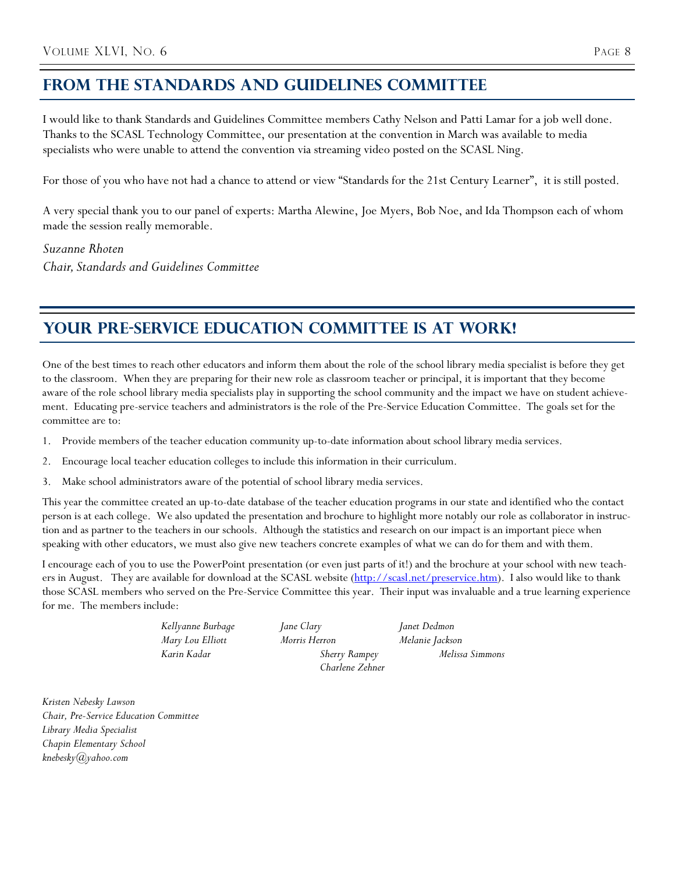## **From the Standards and guidelines committee**

I would like to thank Standards and Guidelines Committee members Cathy Nelson and Patti Lamar for a job well done. Thanks to the SCASL Technology Committee, our presentation at the convention in March was available to media specialists who were unable to attend the convention via streaming video posted on the SCASL Ning.

For those of you who have not had a chance to attend or view "Standards for the 21st Century Learner", it is still posted.

A very special thank you to our panel of experts: Martha Alewine, Joe Myers, Bob Noe, and Ida Thompson each of whom made the session really memorable.

*Suzanne Rhoten Chair, Standards and Guidelines Committee*

## YOUR PRE-SERVICE EDUCATION COMMITTEE IS AT WORK!

One of the best times to reach other educators and inform them about the role of the school library media specialist is before they get to the classroom. When they are preparing for their new role as classroom teacher or principal, it is important that they become aware of the role school library media specialists play in supporting the school community and the impact we have on student achievement. Educating pre-service teachers and administrators is the role of the Pre-Service Education Committee. The goals set for the committee are to:

- 1. Provide members of the teacher education community up-to-date information about school library media services.
- 2. Encourage local teacher education colleges to include this information in their curriculum.
- 3. Make school administrators aware of the potential of school library media services.

This year the committee created an up-to-date database of the teacher education programs in our state and identified who the contact person is at each college. We also updated the presentation and brochure to highlight more notably our role as collaborator in instruction and as partner to the teachers in our schools. Although the statistics and research on our impact is an important piece when speaking with other educators, we must also give new teachers concrete examples of what we can do for them and with them.

I encourage each of you to use the PowerPoint presentation (or even just parts of it!) and the brochure at your school with new teachers in August. They are available for download at the SCASL website (http://scasl.net/preservice.htm). I also would like to thank those SCASL members who served on the Pre-Service Committee this year. Their input was invaluable and a true learning experience for me. The members include:

| Kellyanne Burbage | Jane Clary           | Janet Dedmon    |
|-------------------|----------------------|-----------------|
| Mary Lou Elliott  | Morris Herron        | Melanie Jackson |
| Karin Kadar       | <b>Sherry Rampey</b> | Melissa Simmons |
|                   | Charlene Zehner      |                 |

*Kristen Nebesky Lawson Chair, Pre-Service Education Committee Library Media Specialist Chapin Elementary School knebesky@yahoo.com*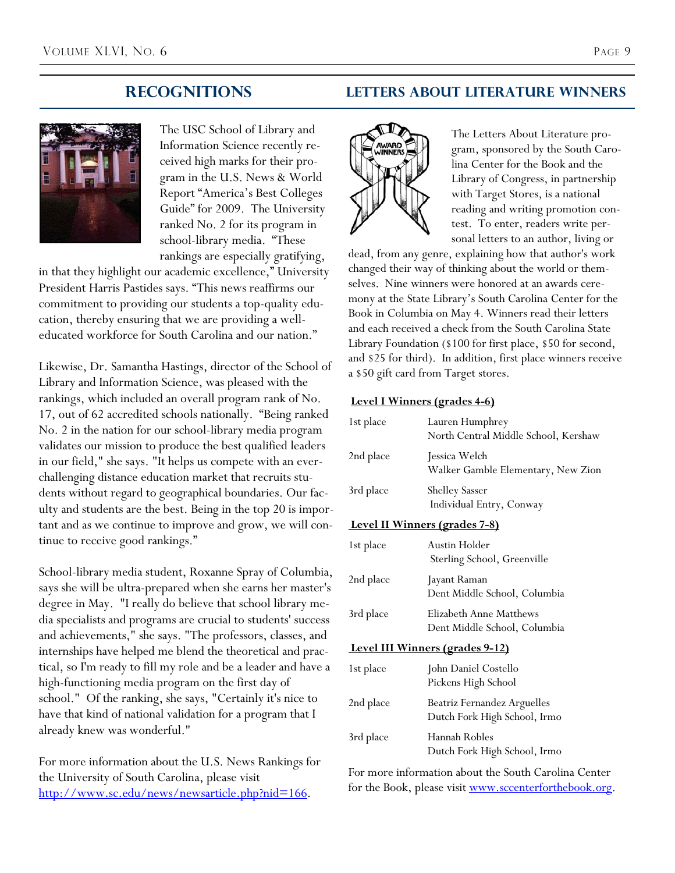

The USC School of Library and Information Science recently received high marks for their program in the U.S. News & World Report "America's Best Colleges Guide" for 2009. The University ranked No. 2 for its program in school-library media. "These rankings are especially gratifying,

in that they highlight our academic excellence," University President Harris Pastides says. "This news reaffirms our commitment to providing our students a top-quality education, thereby ensuring that we are providing a welleducated workforce for South Carolina and our nation."

Likewise, Dr. Samantha Hastings, director of the School of Library and Information Science, was pleased with the rankings, which included an overall program rank of No. 17, out of 62 accredited schools nationally. "Being ranked No. 2 in the nation for our school-library media program validates our mission to produce the best qualified leaders in our field," she says. "It helps us compete with an everchallenging distance education market that recruits students without regard to geographical boundaries. Our faculty and students are the best. Being in the top 20 is important and as we continue to improve and grow, we will continue to receive good rankings."

School-library media student, Roxanne Spray of Columbia, says she will be ultra-prepared when she earns her master's degree in May. "I really do believe that school library media specialists and programs are crucial to students' success and achievements," she says. "The professors, classes, and internships have helped me blend the theoretical and practical, so I'm ready to fill my role and be a leader and have a high-functioning media program on the first day of school." Of the ranking, she says, "Certainly it's nice to have that kind of national validation for a program that I already knew was wonderful."

For more information about the U.S. News Rankings for the University of South Carolina, please visit http://www.sc.edu/news/newsarticle.php?nid=166.

## **recognitions Letters about literature winners**



The Letters About Literature program, sponsored by the South Carolina Center for the Book and the Library of Congress, in partnership with Target Stores, is a national reading and writing promotion contest. To enter, readers write personal letters to an author, living or

dead, from any genre, explaining how that author's work changed their way of thinking about the world or themselves. Nine winners were honored at an awards ceremony at the State Library's South Carolina Center for the Book in Columbia on May 4. Winners read their letters and each received a check from the South Carolina State Library Foundation (\$100 for first place, \$50 for second, and \$25 for third). In addition, first place winners receive a \$50 gift card from Target stores.

### **Level I Winners (grades 4-6)**

| 1st place                     | Lauren Humphrey<br>North Central Middle School, Kershaw |  |
|-------------------------------|---------------------------------------------------------|--|
| 2nd place                     | Jessica Welch<br>Walker Gamble Elementary, New Zion     |  |
| 3rd place                     | <b>Shelley Sasser</b><br>Individual Entry, Conway       |  |
| Level II Winners (grades 7-8) |                                                         |  |

## 1st place Austin Holder Sterling School, Greenville 2nd place Jayant Raman Dent Middle School, Columbia 3rd place Elizabeth Anne Matthews Dent Middle School, Columbia

 **Level III Winners (grades 9-12)**

| 1st place | John Daniel Costello<br>Pickens High School                 |
|-----------|-------------------------------------------------------------|
| 2nd place | Beatriz Fernandez Arguelles<br>Dutch Fork High School, Irmo |
| 3rd place | Hannah Robles<br>Dutch Fork High School, Irmo               |

For more information about the South Carolina Center for the Book, please visit www.sccenterforthebook.org.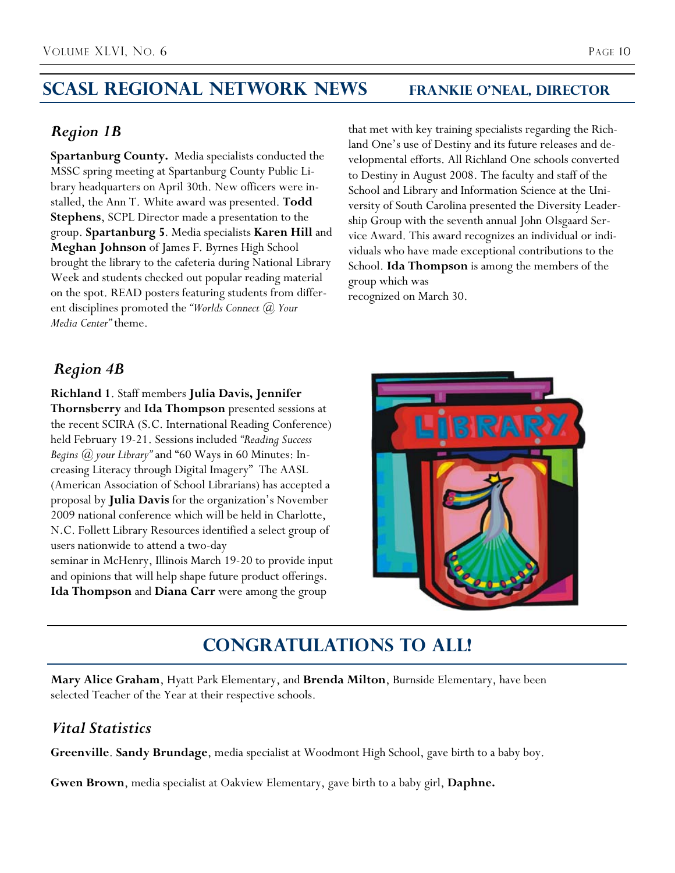## **SCASL Regional Network News Frankie O'Neal, Director**

## *Region 1B*

**Spartanburg County.** Media specialists conducted the MSSC spring meeting at Spartanburg County Public Library headquarters on April 30th. New officers were installed, the Ann T. White award was presented. **Todd Stephens**, SCPL Director made a presentation to the group. **Spartanburg 5**. Media specialists **Karen Hill** and **Meghan Johnson** of James F. Byrnes High School brought the library to the cafeteria during National Library Week and students checked out popular reading material on the spot. READ posters featuring students from different disciplines promoted the *"Worlds Connect @ Your Media Center"* theme.

that met with key training specialists regarding the Richland One's use of Destiny and its future releases and developmental efforts. All Richland One schools converted to Destiny in August 2008. The faculty and staff of the School and Library and Information Science at the University of South Carolina presented the Diversity Leadership Group with the seventh annual John Olsgaard Service Award. This award recognizes an individual or individuals who have made exceptional contributions to the School. **Ida Thompson** is among the members of the group which was

recognized on March 30.

## *Region 4B*

**Richland 1**. Staff members **Julia Davis, Jennifer Thornsberry** and **Ida Thompson** presented sessions at the recent SCIRA (S.C. International Reading Conference) held February 1921. Sessions included *"Reading Success Begins @ your Library"* and "60 Ways in 60 Minutes: Increasing Literacy through Digital Imagery" The AASL (American Association of School Librarians) has accepted a proposal by **Julia Davis** for the organization's November 2009 national conference which will be held in Charlotte, N.C. Follett Library Resources identified a select group of users nationwide to attend a two-day seminar in McHenry, Illinois March 19-20 to provide input and opinions that will help shape future product offerings.





## **Congratulations to All!**

**Mary Alice Graham**, Hyatt Park Elementary, and **Brenda Milton**, Burnside Elementary, have been selected Teacher of the Year at their respective schools.

## *Vital Statistics*

**Greenville**. **Sandy Brundage**, media specialist at Woodmont High School, gave birth to a baby boy.

**Gwen Brown**, media specialist at Oakview Elementary, gave birth to a baby girl, **Daphne.**